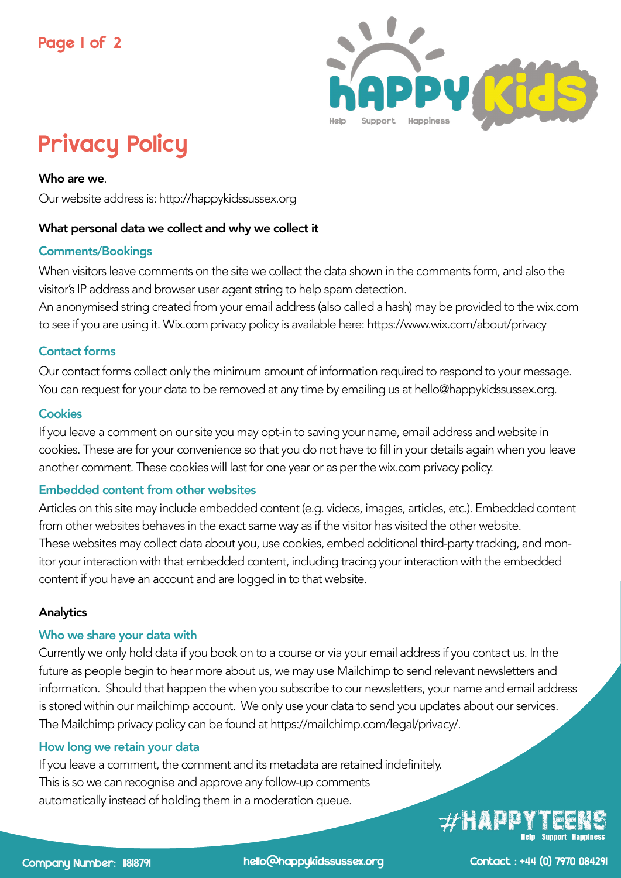

# Privacy Policy

Who are we.

Our website address is: http://happykidssussex.org

## What personal data we collect and why we collect it

## Comments/Bookings

When visitors leave comments on the site we collect the data shown in the comments form, and also the visitor's IP address and browser user agent string to help spam detection.

An anonymised string created from your email address (also called a hash) may be provided to the wix.com to see if you are using it. Wix.com privacy policy is available here: https://www.wix.com/about/privacy

## Contact forms

Our contact forms collect only the minimum amount of information required to respond to your message. You can request for your data to be removed at any time by emailing us at hello@happykidssussex.org.

## **Cookies**

If you leave a comment on our site you may opt-in to saving your name, email address and website in cookies. These are for your convenience so that you do not have to fill in your details again when you leave another comment. These cookies will last for one year or as per the wix.com privacy policy.

## Embedded content from other websites

Articles on this site may include embedded content (e.g. videos, images, articles, etc.). Embedded content from other websites behaves in the exact same way as if the visitor has visited the other website. These websites may collect data about you, use cookies, embed additional third-party tracking, and monitor your interaction with that embedded content, including tracing your interaction with the embedded content if you have an account and are logged in to that website.

## **Analytics**

## Who we share your data with

Currently we only hold data if you book on to a course or via your email address if you contact us. In the future as people begin to hear more about us, we may use Mailchimp to send relevant newsletters and information. Should that happen the when you subscribe to our newsletters, your name and email address is stored within our mailchimp account. We only use your data to send you updates about our services. The Mailchimp privacy policy can be found at https://mailchimp.com/legal/privacy/.

#### How long we retain your data

If you leave a comment, the comment and its metadata are retained indefinitely. This is so we can recognise and approve any follow-up comments automatically instead of holding them in a moderation queue.